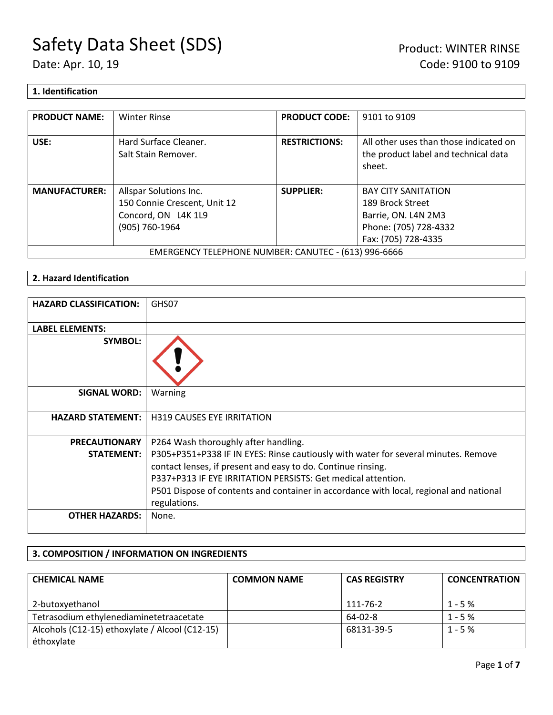### **1. Identification**

| <b>PRODUCT NAME:</b> | <b>Winter Rinse</b>                                  | <b>PRODUCT CODE:</b> | 9101 to 9109                                                                             |
|----------------------|------------------------------------------------------|----------------------|------------------------------------------------------------------------------------------|
| USE:                 | Hard Surface Cleaner.<br>Salt Stain Remover.         | <b>RESTRICTIONS:</b> | All other uses than those indicated on<br>the product label and technical data<br>sheet. |
| <b>MANUFACTURER:</b> | Allspar Solutions Inc.                               | <b>SUPPLIER:</b>     | <b>BAY CITY SANITATION</b>                                                               |
|                      | 150 Connie Crescent, Unit 12                         |                      | 189 Brock Street                                                                         |
|                      | Concord, ON L4K 1L9                                  |                      | Barrie, ON. L4N 2M3                                                                      |
|                      | (905) 760-1964                                       |                      | Phone: (705) 728-4332                                                                    |
|                      |                                                      |                      | Fax: (705) 728-4335                                                                      |
|                      | EMERGENCY TELEPHONE NUMBER: CANUTEC - (613) 996-6666 |                      |                                                                                          |

### **2. Hazard Identification**

| <b>HAZARD CLASSIFICATION:</b> | GHS07                                                                                                                                                                                                                                                                                                                        |
|-------------------------------|------------------------------------------------------------------------------------------------------------------------------------------------------------------------------------------------------------------------------------------------------------------------------------------------------------------------------|
| <b>LABEL ELEMENTS:</b>        |                                                                                                                                                                                                                                                                                                                              |
| <b>SYMBOL:</b>                |                                                                                                                                                                                                                                                                                                                              |
| <b>SIGNAL WORD:</b>           | Warning                                                                                                                                                                                                                                                                                                                      |
| <b>HAZARD STATEMENT:</b>      | <b>H319 CAUSES EYE IRRITATION</b>                                                                                                                                                                                                                                                                                            |
| <b>PRECAUTIONARY</b>          | P264 Wash thoroughly after handling.                                                                                                                                                                                                                                                                                         |
| <b>STATEMENT:</b>             | P305+P351+P338 IF IN EYES: Rinse cautiously with water for several minutes. Remove<br>contact lenses, if present and easy to do. Continue rinsing.<br>P337+P313 IF EYE IRRITATION PERSISTS: Get medical attention.<br>P501 Dispose of contents and container in accordance with local, regional and national<br>regulations. |
| <b>OTHER HAZARDS:</b>         | None.                                                                                                                                                                                                                                                                                                                        |

### **3. COMPOSITION / INFORMATION ON INGREDIENTS**

| <b>CHEMICAL NAME</b>                           | <b>COMMON NAME</b> | <b>CAS REGISTRY</b> | <b>CONCENTRATION</b> |
|------------------------------------------------|--------------------|---------------------|----------------------|
| 2-butoxyethanol                                |                    | 111-76-2            | $1 - 5%$             |
| Tetrasodium ethylenediaminetetraacetate        |                    | $64 - 02 - 8$       | $1 - 5%$             |
| Alcohols (C12-15) ethoxylate / Alcool (C12-15) |                    | 68131-39-5          | $1 - 5%$             |
| éthoxylate                                     |                    |                     |                      |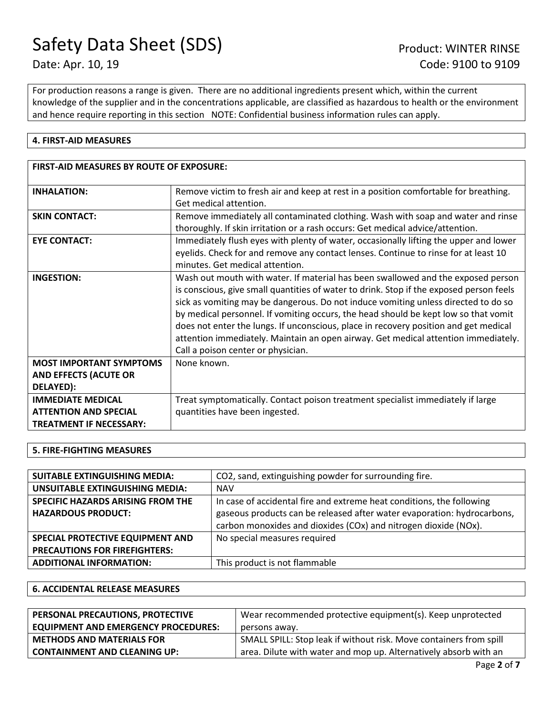For production reasons a range is given. There are no additional ingredients present which, within the current knowledge of the supplier and in the concentrations applicable, are classified as hazardous to health or the environment and hence require reporting in this section NOTE: Confidential business information rules can apply.

### **4. FIRST-AID MEASURES**

| <b>FIRST-AID MEASURES BY ROUTE OF EXPOSURE:</b> |                                                                                         |  |
|-------------------------------------------------|-----------------------------------------------------------------------------------------|--|
| <b>INHALATION:</b>                              | Remove victim to fresh air and keep at rest in a position comfortable for breathing.    |  |
|                                                 | Get medical attention.                                                                  |  |
| <b>SKIN CONTACT:</b>                            | Remove immediately all contaminated clothing. Wash with soap and water and rinse        |  |
|                                                 | thoroughly. If skin irritation or a rash occurs: Get medical advice/attention.          |  |
| <b>EYE CONTACT:</b>                             | Immediately flush eyes with plenty of water, occasionally lifting the upper and lower   |  |
|                                                 | eyelids. Check for and remove any contact lenses. Continue to rinse for at least 10     |  |
|                                                 | minutes. Get medical attention.                                                         |  |
| <b>INGESTION:</b>                               | Wash out mouth with water. If material has been swallowed and the exposed person        |  |
|                                                 | is conscious, give small quantities of water to drink. Stop if the exposed person feels |  |
|                                                 | sick as vomiting may be dangerous. Do not induce vomiting unless directed to do so      |  |
|                                                 | by medical personnel. If vomiting occurs, the head should be kept low so that vomit     |  |
|                                                 | does not enter the lungs. If unconscious, place in recovery position and get medical    |  |
|                                                 | attention immediately. Maintain an open airway. Get medical attention immediately.      |  |
|                                                 | Call a poison center or physician.                                                      |  |
| <b>MOST IMPORTANT SYMPTOMS</b>                  | None known.                                                                             |  |
| <b>AND EFFECTS (ACUTE OR</b>                    |                                                                                         |  |
| DELAYED):                                       |                                                                                         |  |
| <b>IMMEDIATE MEDICAL</b>                        | Treat symptomatically. Contact poison treatment specialist immediately if large         |  |
| <b>ATTENTION AND SPECIAL</b>                    | quantities have been ingested.                                                          |  |
| <b>TREATMENT IF NECESSARY:</b>                  |                                                                                         |  |

### **5. FIRE-FIGHTING MEASURES**

| <b>SUITABLE EXTINGUISHING MEDIA:</b>                           | CO2, sand, extinguishing powder for surrounding fire.                                                                                            |
|----------------------------------------------------------------|--------------------------------------------------------------------------------------------------------------------------------------------------|
| UNSUITABLE EXTINGUISHING MEDIA:                                | <b>NAV</b>                                                                                                                                       |
| SPECIFIC HAZARDS ARISING FROM THE<br><b>HAZARDOUS PRODUCT:</b> | In case of accidental fire and extreme heat conditions, the following<br>gaseous products can be released after water evaporation: hydrocarbons, |
|                                                                | carbon monoxides and dioxides (COx) and nitrogen dioxide (NOx).                                                                                  |
| SPECIAL PROTECTIVE EQUIPMENT AND                               | No special measures required                                                                                                                     |
| <b>PRECAUTIONS FOR FIREFIGHTERS:</b>                           |                                                                                                                                                  |
| <b>ADDITIONAL INFORMATION:</b>                                 | This product is not flammable                                                                                                                    |

#### **6. ACCIDENTAL RELEASE MEASURES**

| PERSONAL PRECAUTIONS, PROTECTIVE           | Wear recommended protective equipment(s). Keep unprotected         |
|--------------------------------------------|--------------------------------------------------------------------|
| <b>EQUIPMENT AND EMERGENCY PROCEDURES:</b> | persons away.                                                      |
| <b>METHODS AND MATERIALS FOR</b>           | SMALL SPILL: Stop leak if without risk. Move containers from spill |
| <b>CONTAINMENT AND CLEANING UP:</b>        | area. Dilute with water and mop up. Alternatively absorb with an   |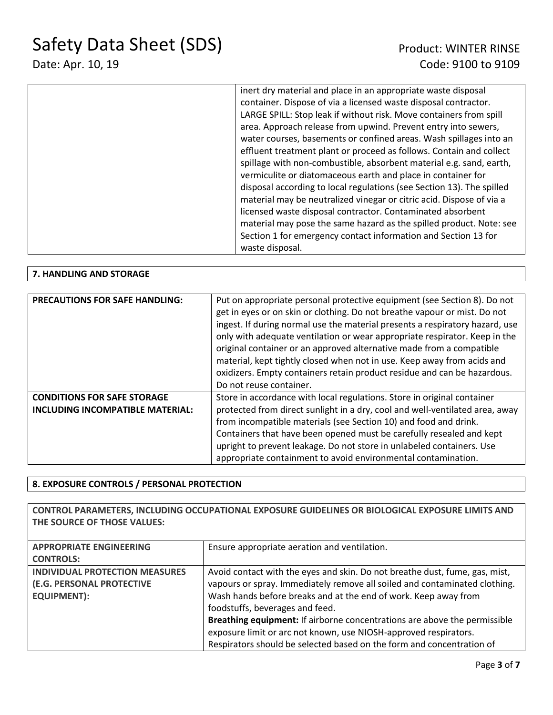# Date: Apr. 10, 19 Code: 9100 to 9109

| inert dry material and place in an appropriate waste disposal         |
|-----------------------------------------------------------------------|
| container. Dispose of via a licensed waste disposal contractor.       |
| LARGE SPILL: Stop leak if without risk. Move containers from spill    |
| area. Approach release from upwind. Prevent entry into sewers,        |
| water courses, basements or confined areas. Wash spillages into an    |
| effluent treatment plant or proceed as follows. Contain and collect   |
| spillage with non-combustible, absorbent material e.g. sand, earth,   |
| vermiculite or diatomaceous earth and place in container for          |
| disposal according to local regulations (see Section 13). The spilled |
| material may be neutralized vinegar or citric acid. Dispose of via a  |
| licensed waste disposal contractor. Contaminated absorbent            |
| material may pose the same hazard as the spilled product. Note: see   |
| Section 1 for emergency contact information and Section 13 for        |
| waste disposal.                                                       |

### **7. HANDLING AND STORAGE**

| <b>PRECAUTIONS FOR SAFE HANDLING:</b>                                  | Put on appropriate personal protective equipment (see Section 8). Do not<br>get in eyes or on skin or clothing. Do not breathe vapour or mist. Do not<br>ingest. If during normal use the material presents a respiratory hazard, use<br>only with adequate ventilation or wear appropriate respirator. Keep in the<br>original container or an approved alternative made from a compatible<br>material, kept tightly closed when not in use. Keep away from acids and<br>oxidizers. Empty containers retain product residue and can be hazardous.<br>Do not reuse container. |
|------------------------------------------------------------------------|-------------------------------------------------------------------------------------------------------------------------------------------------------------------------------------------------------------------------------------------------------------------------------------------------------------------------------------------------------------------------------------------------------------------------------------------------------------------------------------------------------------------------------------------------------------------------------|
| <b>CONDITIONS FOR SAFE STORAGE</b><br>INCLUDING INCOMPATIBLE MATERIAL: | Store in accordance with local regulations. Store in original container<br>protected from direct sunlight in a dry, cool and well-ventilated area, away<br>from incompatible materials (see Section 10) and food and drink.<br>Containers that have been opened must be carefully resealed and kept<br>upright to prevent leakage. Do not store in unlabeled containers. Use<br>appropriate containment to avoid environmental contamination.                                                                                                                                 |

### **8. EXPOSURE CONTROLS / PERSONAL PROTECTION**

**CONTROL PARAMETERS, INCLUDING OCCUPATIONAL EXPOSURE GUIDELINES OR BIOLOGICAL EXPOSURE LIMITS AND THE SOURCE OF THOSE VALUES:**

| <b>APPROPRIATE ENGINEERING</b>        | Ensure appropriate aeration and ventilation.                                |
|---------------------------------------|-----------------------------------------------------------------------------|
| <b>CONTROLS:</b>                      |                                                                             |
| <b>INDIVIDUAL PROTECTION MEASURES</b> | Avoid contact with the eyes and skin. Do not breathe dust, fume, gas, mist, |
| (E.G. PERSONAL PROTECTIVE             | vapours or spray. Immediately remove all soiled and contaminated clothing.  |
| <b>EQUIPMENT):</b>                    | Wash hands before breaks and at the end of work. Keep away from             |
|                                       | foodstuffs, beverages and feed.                                             |
|                                       | Breathing equipment: If airborne concentrations are above the permissible   |
|                                       | exposure limit or arc not known, use NIOSH-approved respirators.            |
|                                       | Respirators should be selected based on the form and concentration of       |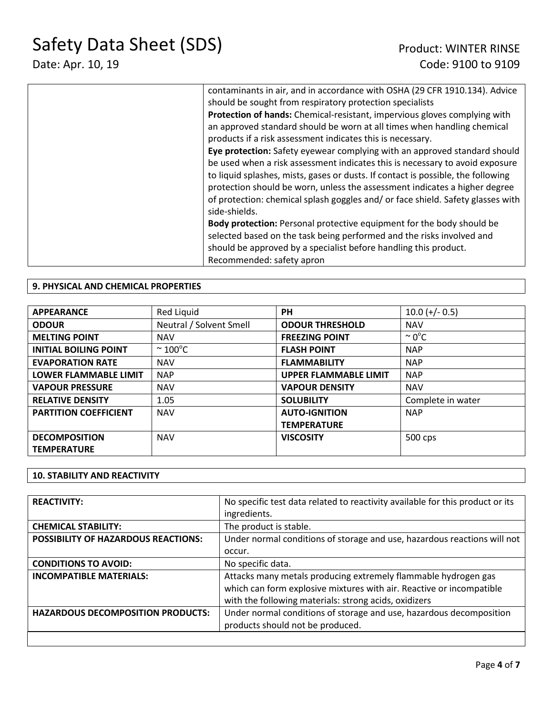# Date: Apr. 10, 19 Code: 9100 to 9109

| contaminants in air, and in accordance with OSHA (29 CFR 1910.134). Advice       |
|----------------------------------------------------------------------------------|
| should be sought from respiratory protection specialists                         |
| Protection of hands: Chemical-resistant, impervious gloves complying with        |
| an approved standard should be worn at all times when handling chemical          |
| products if a risk assessment indicates this is necessary.                       |
| Eye protection: Safety eyewear complying with an approved standard should        |
| be used when a risk assessment indicates this is necessary to avoid exposure     |
| to liquid splashes, mists, gases or dusts. If contact is possible, the following |
| protection should be worn, unless the assessment indicates a higher degree       |
| of protection: chemical splash goggles and/or face shield. Safety glasses with   |
| side-shields.                                                                    |
| Body protection: Personal protective equipment for the body should be            |
| selected based on the task being performed and the risks involved and            |
| should be approved by a specialist before handling this product.                 |
| Recommended: safety apron                                                        |

### **9. PHYSICAL AND CHEMICAL PROPERTIES**

| <b>APPEARANCE</b>            | Red Liquid              | <b>PH</b>                    | $10.0 (+/- 0.5)$   |
|------------------------------|-------------------------|------------------------------|--------------------|
| <b>ODOUR</b>                 | Neutral / Solvent Smell | <b>ODOUR THRESHOLD</b>       | <b>NAV</b>         |
| <b>MELTING POINT</b>         | <b>NAV</b>              | <b>FREEZING POINT</b>        | $\sim 0^{\circ}$ C |
| <b>INITIAL BOILING POINT</b> | $\sim$ 100 $^{\circ}$ C | <b>FLASH POINT</b>           | <b>NAP</b>         |
| <b>EVAPORATION RATE</b>      | <b>NAV</b>              | <b>FLAMMABILITY</b>          | <b>NAP</b>         |
| <b>LOWER FLAMMABLE LIMIT</b> | <b>NAP</b>              | <b>UPPER FLAMMABLE LIMIT</b> | <b>NAP</b>         |
| <b>VAPOUR PRESSURE</b>       | <b>NAV</b>              | <b>VAPOUR DENSITY</b>        | <b>NAV</b>         |
| <b>RELATIVE DENSITY</b>      | 1.05                    | <b>SOLUBILITY</b>            | Complete in water  |
| <b>PARTITION COEFFICIENT</b> | <b>NAV</b>              | <b>AUTO-IGNITION</b>         | <b>NAP</b>         |
|                              |                         | <b>TEMPERATURE</b>           |                    |
| <b>DECOMPOSITION</b>         | <b>NAV</b>              | <b>VISCOSITY</b>             | 500 cps            |
| <b>TEMPERATURE</b>           |                         |                              |                    |

#### **10. STABILITY AND REACTIVITY**

| <b>REACTIVITY:</b>                         | No specific test data related to reactivity available for this product or its<br>ingredients.                                                                                                   |
|--------------------------------------------|-------------------------------------------------------------------------------------------------------------------------------------------------------------------------------------------------|
| <b>CHEMICAL STABILITY:</b>                 | The product is stable.                                                                                                                                                                          |
|                                            |                                                                                                                                                                                                 |
| <b>POSSIBILITY OF HAZARDOUS REACTIONS:</b> | Under normal conditions of storage and use, hazardous reactions will not                                                                                                                        |
|                                            | occur.                                                                                                                                                                                          |
| <b>CONDITIONS TO AVOID:</b>                | No specific data.                                                                                                                                                                               |
| <b>INCOMPATIBLE MATERIALS:</b>             | Attacks many metals producing extremely flammable hydrogen gas<br>which can form explosive mixtures with air. Reactive or incompatible<br>with the following materials: strong acids, oxidizers |
| <b>HAZARDOUS DECOMPOSITION PRODUCTS:</b>   | Under normal conditions of storage and use, hazardous decomposition<br>products should not be produced.                                                                                         |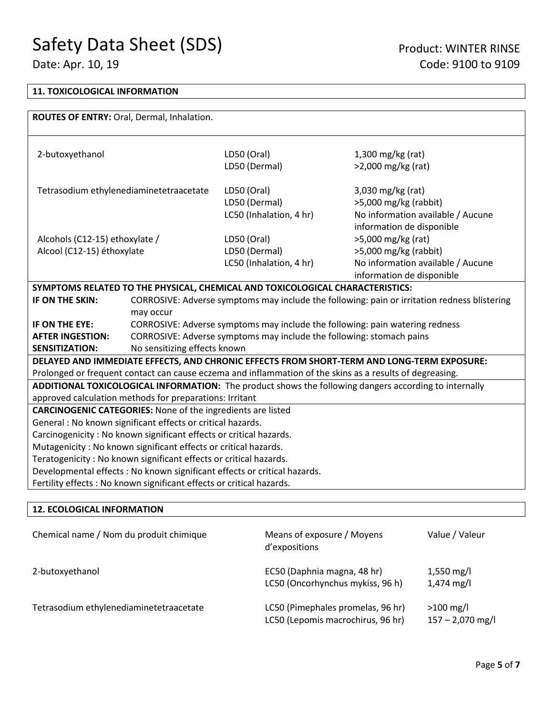## Date: Apr. 10, 19 Code: 9100 to 9109

### **11. TOXICOLOGICAL INFORMATION**

| ROUTES OF ENTRY: Oral, Dermal, Inhalation.                                |                                                                                              |                                                                                                          |                                                                                                       |  |  |
|---------------------------------------------------------------------------|----------------------------------------------------------------------------------------------|----------------------------------------------------------------------------------------------------------|-------------------------------------------------------------------------------------------------------|--|--|
|                                                                           |                                                                                              |                                                                                                          |                                                                                                       |  |  |
| 2-butoxyethanol                                                           |                                                                                              | LD50 (Oral)                                                                                              | $1,300$ mg/kg (rat)                                                                                   |  |  |
|                                                                           |                                                                                              | LD50 (Dermal)                                                                                            | $>2,000$ mg/kg (rat)                                                                                  |  |  |
|                                                                           |                                                                                              |                                                                                                          |                                                                                                       |  |  |
| Tetrasodium ethylenediaminetetraacetate                                   |                                                                                              | LD50 (Oral)                                                                                              | 3,030 mg/kg (rat)                                                                                     |  |  |
|                                                                           |                                                                                              | LD50 (Dermal)                                                                                            | >5,000 mg/kg (rabbit)                                                                                 |  |  |
|                                                                           |                                                                                              | LC50 (Inhalation, 4 hr)                                                                                  | No information available / Aucune                                                                     |  |  |
|                                                                           |                                                                                              |                                                                                                          | information de disponible                                                                             |  |  |
| Alcohols (C12-15) ethoxylate /                                            |                                                                                              | LD50 (Oral)                                                                                              | >5,000 mg/kg (rat)                                                                                    |  |  |
| Alcool (C12-15) éthoxylate                                                |                                                                                              | LD50 (Dermal)                                                                                            | $>5,000$ mg/kg (rabbit)                                                                               |  |  |
|                                                                           |                                                                                              | LC50 (Inhalation, 4 hr)                                                                                  | No information available / Aucune                                                                     |  |  |
|                                                                           |                                                                                              |                                                                                                          | information de disponible                                                                             |  |  |
|                                                                           |                                                                                              | SYMPTOMS RELATED TO THE PHYSICAL, CHEMICAL AND TOXICOLOGICAL CHARACTERISTICS:                            |                                                                                                       |  |  |
| IF ON THE SKIN:                                                           | CORROSIVE: Adverse symptoms may include the following: pain or irritation redness blistering |                                                                                                          |                                                                                                       |  |  |
|                                                                           | may occur                                                                                    |                                                                                                          |                                                                                                       |  |  |
| IF ON THE EYE:                                                            | CORROSIVE: Adverse symptoms may include the following: pain watering redness                 |                                                                                                          |                                                                                                       |  |  |
| <b>AFTER INGESTION:</b>                                                   |                                                                                              | CORROSIVE: Adverse symptoms may include the following: stomach pains                                     |                                                                                                       |  |  |
| <b>SENSITIZATION:</b>                                                     | No sensitizing effects known                                                                 |                                                                                                          |                                                                                                       |  |  |
|                                                                           |                                                                                              |                                                                                                          | DELAYED AND IMMEDIATE EFFECTS, AND CHRONIC EFFECTS FROM SHORT-TERM AND LONG-TERM EXPOSURE:            |  |  |
|                                                                           |                                                                                              | Prolonged or frequent contact can cause eczema and inflammation of the skins as a results of degreasing. |                                                                                                       |  |  |
|                                                                           |                                                                                              |                                                                                                          | ADDITIONAL TOXICOLOGICAL INFORMATION: The product shows the following dangers according to internally |  |  |
| approved calculation methods for preparations: Irritant                   |                                                                                              |                                                                                                          |                                                                                                       |  |  |
| <b>CARCINOGENIC CATEGORIES:</b> None of the ingredients are listed        |                                                                                              |                                                                                                          |                                                                                                       |  |  |
| General : No known significant effects or critical hazards.               |                                                                                              |                                                                                                          |                                                                                                       |  |  |
| Carcinogenicity: No known significant effects or critical hazards.        |                                                                                              |                                                                                                          |                                                                                                       |  |  |
| Mutagenicity: No known significant effects or critical hazards.           |                                                                                              |                                                                                                          |                                                                                                       |  |  |
| Teratogenicity: No known significant effects or critical hazards.         |                                                                                              |                                                                                                          |                                                                                                       |  |  |
| Developmental effects : No known significant effects or critical hazards. |                                                                                              |                                                                                                          |                                                                                                       |  |  |
| Fertility effects : No known significant effects or critical hazards.     |                                                                                              |                                                                                                          |                                                                                                       |  |  |
|                                                                           |                                                                                              |                                                                                                          |                                                                                                       |  |  |

### **12. ECOLOGICAL INFORMATION**

| Chemical name / Nom du produit chimique | Means of exposure / Moyens<br>d'expositions                            | Value / Valeur                       |
|-----------------------------------------|------------------------------------------------------------------------|--------------------------------------|
| 2-butoxyethanol                         | EC50 (Daphnia magna, 48 hr)<br>LC50 (Oncorhynchus mykiss, 96 h)        | $1,550$ mg/l<br>$1,474 \text{ mg/l}$ |
| Tetrasodium ethylenediaminetetraacetate | LC50 (Pimephales promelas, 96 hr)<br>LC50 (Lepomis macrochirus, 96 hr) | $>100$ mg/l<br>$157 - 2,070$ mg/l    |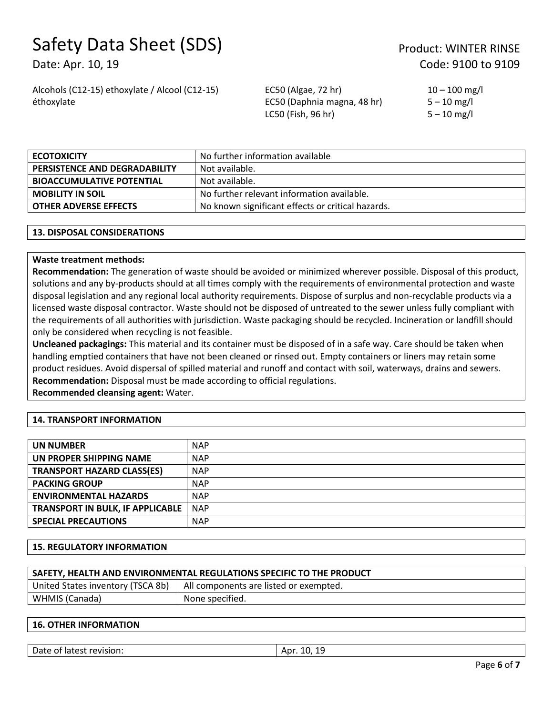Date: Apr. 10, 19 Code: 9100 to 9109

Alcohols (C12-15) ethoxylate / Alcool (C12-15) éthoxylate

EC50 (Algae, 72 hr) EC50 (Daphnia magna, 48 hr) LC50 (Fish, 96 hr)

 $10 - 100$  mg/l  $5 - 10$  mg/l  $5 - 10$  mg/l

| <b>ECOTOXICITY</b>               | No further information available                  |
|----------------------------------|---------------------------------------------------|
| PERSISTENCE AND DEGRADABILITY    | Not available.                                    |
| <b>BIOACCUMULATIVE POTENTIAL</b> | Not available.                                    |
| <b>MOBILITY IN SOIL</b>          | No further relevant information available.        |
| <b>OTHER ADVERSE EFFECTS</b>     | No known significant effects or critical hazards. |

### **13. DISPOSAL CONSIDERATIONS**

### **Waste treatment methods:**

**Recommendation:** The generation of waste should be avoided or minimized wherever possible. Disposal of this product, solutions and any by-products should at all times comply with the requirements of environmental protection and waste disposal legislation and any regional local authority requirements. Dispose of surplus and non-recyclable products via a licensed waste disposal contractor. Waste should not be disposed of untreated to the sewer unless fully compliant with the requirements of all authorities with jurisdiction. Waste packaging should be recycled. Incineration or landfill should only be considered when recycling is not feasible.

**Uncleaned packagings:** This material and its container must be disposed of in a safe way. Care should be taken when handling emptied containers that have not been cleaned or rinsed out. Empty containers or liners may retain some product residues. Avoid dispersal of spilled material and runoff and contact with soil, waterways, drains and sewers. **Recommendation:** Disposal must be made according to official regulations.

**Recommended cleansing agent:** Water.

### **14. TRANSPORT INFORMATION**

| <b>UN NUMBER</b>                        | <b>NAP</b> |
|-----------------------------------------|------------|
| UN PROPER SHIPPING NAME                 | <b>NAP</b> |
| <b>TRANSPORT HAZARD CLASS(ES)</b>       | <b>NAP</b> |
| <b>PACKING GROUP</b>                    | <b>NAP</b> |
| <b>ENVIRONMENTAL HAZARDS</b>            | <b>NAP</b> |
| <b>TRANSPORT IN BULK, IF APPLICABLE</b> | <b>NAP</b> |
| <b>SPECIAL PRECAUTIONS</b>              | <b>NAP</b> |

#### **15. REGULATORY INFORMATION**

| SAFETY, HEALTH AND ENVIRONMENTAL REGULATIONS SPECIFIC TO THE PRODUCT |                                        |  |
|----------------------------------------------------------------------|----------------------------------------|--|
| United States inventory (TSCA 8b)                                    | All components are listed or exempted. |  |
| WHMIS (Canada)                                                       | None specified.                        |  |
|                                                                      |                                        |  |

### **16. OTHER INFORMATION**

| Date of latest revision: | 1 Q<br>10.19<br>Apr |
|--------------------------|---------------------|
|                          |                     |